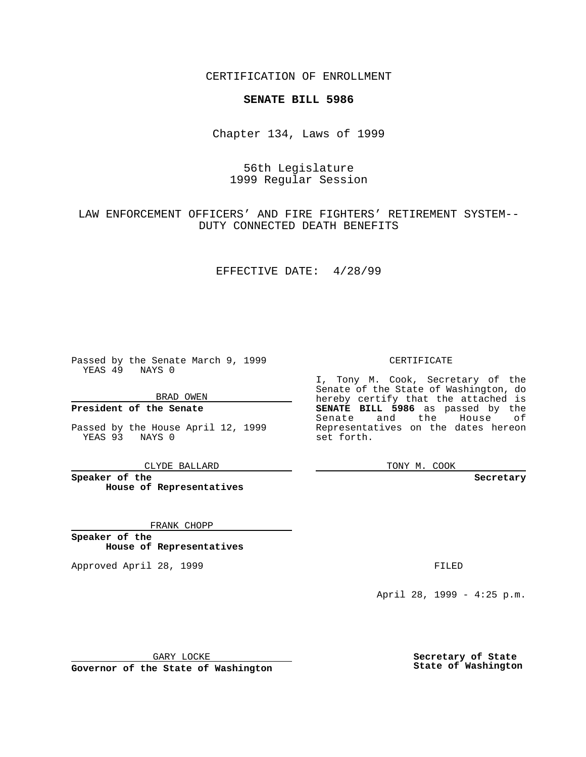CERTIFICATION OF ENROLLMENT

### **SENATE BILL 5986**

Chapter 134, Laws of 1999

# 56th Legislature 1999 Regular Session

# LAW ENFORCEMENT OFFICERS' AND FIRE FIGHTERS' RETIREMENT SYSTEM-- DUTY CONNECTED DEATH BENEFITS

#### EFFECTIVE DATE: 4/28/99

Passed by the Senate March 9, 1999 YEAS 49 NAYS 0

BRAD OWEN

**President of the Senate**

Passed by the House April 12, 1999 YEAS 93 NAYS 0

CLYDE BALLARD

**Speaker of the House of Representatives**

FRANK CHOPP

**Speaker of the House of Representatives**

Approved April 28, 1999 **FILED** 

#### CERTIFICATE

I, Tony M. Cook, Secretary of the Senate of the State of Washington, do hereby certify that the attached is **SENATE BILL 5986** as passed by the Senate and the House of Representatives on the dates hereon set forth.

TONY M. COOK

**Secretary**

April 28, 1999 - 4:25 p.m.

GARY LOCKE

**Governor of the State of Washington**

**Secretary of State State of Washington**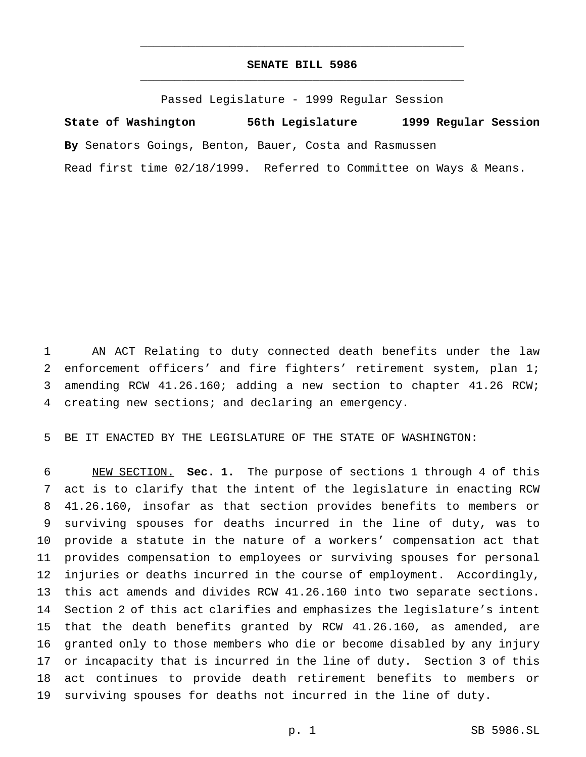### **SENATE BILL 5986** \_\_\_\_\_\_\_\_\_\_\_\_\_\_\_\_\_\_\_\_\_\_\_\_\_\_\_\_\_\_\_\_\_\_\_\_\_\_\_\_\_\_\_\_\_\_\_

\_\_\_\_\_\_\_\_\_\_\_\_\_\_\_\_\_\_\_\_\_\_\_\_\_\_\_\_\_\_\_\_\_\_\_\_\_\_\_\_\_\_\_\_\_\_\_

Passed Legislature - 1999 Regular Session

**State of Washington 56th Legislature 1999 Regular Session By** Senators Goings, Benton, Bauer, Costa and Rasmussen Read first time 02/18/1999. Referred to Committee on Ways & Means.

 AN ACT Relating to duty connected death benefits under the law enforcement officers' and fire fighters' retirement system, plan 1; amending RCW 41.26.160; adding a new section to chapter 41.26 RCW; creating new sections; and declaring an emergency.

BE IT ENACTED BY THE LEGISLATURE OF THE STATE OF WASHINGTON:

 NEW SECTION. **Sec. 1.** The purpose of sections 1 through 4 of this act is to clarify that the intent of the legislature in enacting RCW 41.26.160, insofar as that section provides benefits to members or surviving spouses for deaths incurred in the line of duty, was to provide a statute in the nature of a workers' compensation act that provides compensation to employees or surviving spouses for personal injuries or deaths incurred in the course of employment. Accordingly, this act amends and divides RCW 41.26.160 into two separate sections. Section 2 of this act clarifies and emphasizes the legislature's intent that the death benefits granted by RCW 41.26.160, as amended, are granted only to those members who die or become disabled by any injury or incapacity that is incurred in the line of duty. Section 3 of this act continues to provide death retirement benefits to members or surviving spouses for deaths not incurred in the line of duty.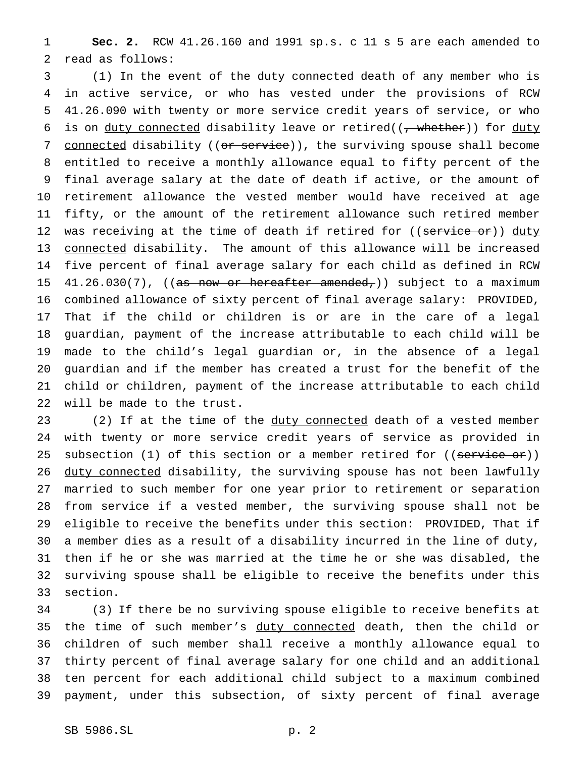**Sec. 2.** RCW 41.26.160 and 1991 sp.s. c 11 s 5 are each amended to read as follows:

 (1) In the event of the duty connected death of any member who is in active service, or who has vested under the provisions of RCW 41.26.090 with twenty or more service credit years of service, or who 6 is on <u>duty connected</u> disability leave or retired( $(\tau$  whether)) for duty 7 connected disability ((or service)), the surviving spouse shall become entitled to receive a monthly allowance equal to fifty percent of the final average salary at the date of death if active, or the amount of retirement allowance the vested member would have received at age fifty, or the amount of the retirement allowance such retired member 12 was receiving at the time of death if retired for ((service or)) duty connected disability. The amount of this allowance will be increased five percent of final average salary for each child as defined in RCW 15 41.26.030(7), ((as now or hereafter amended,)) subject to a maximum combined allowance of sixty percent of final average salary: PROVIDED, That if the child or children is or are in the care of a legal guardian, payment of the increase attributable to each child will be made to the child's legal guardian or, in the absence of a legal guardian and if the member has created a trust for the benefit of the child or children, payment of the increase attributable to each child will be made to the trust.

23 (2) If at the time of the duty connected death of a vested member with twenty or more service credit years of service as provided in 25 subsection (1) of this section or a member retired for ((service or)) 26 duty connected disability, the surviving spouse has not been lawfully married to such member for one year prior to retirement or separation from service if a vested member, the surviving spouse shall not be eligible to receive the benefits under this section: PROVIDED, That if a member dies as a result of a disability incurred in the line of duty, then if he or she was married at the time he or she was disabled, the surviving spouse shall be eligible to receive the benefits under this section.

 (3) If there be no surviving spouse eligible to receive benefits at 35 the time of such member's duty connected death, then the child or children of such member shall receive a monthly allowance equal to thirty percent of final average salary for one child and an additional ten percent for each additional child subject to a maximum combined payment, under this subsection, of sixty percent of final average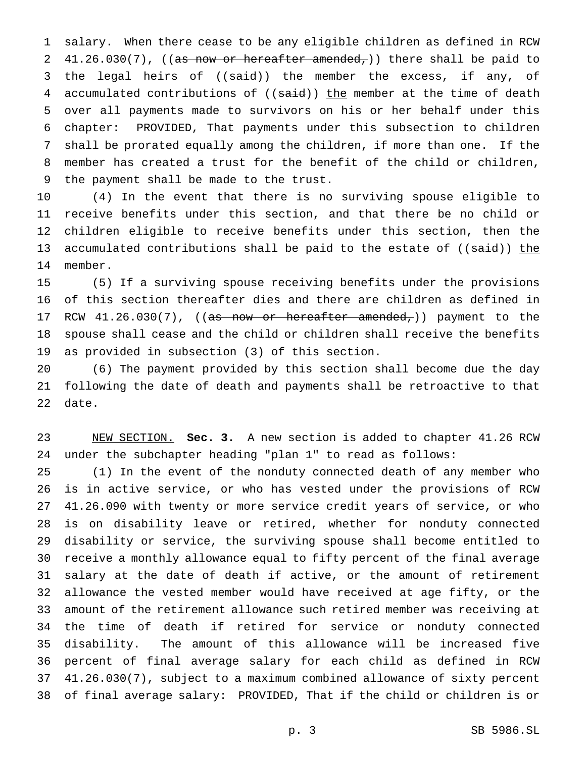salary. When there cease to be any eligible children as defined in RCW 2 41.26.030(7), ((as now or hereafter amended,)) there shall be paid to 3 the legal heirs of ((said)) the member the excess, if any, of 4 accumulated contributions of ((said)) the member at the time of death over all payments made to survivors on his or her behalf under this chapter: PROVIDED, That payments under this subsection to children shall be prorated equally among the children, if more than one. If the member has created a trust for the benefit of the child or children, the payment shall be made to the trust.

 (4) In the event that there is no surviving spouse eligible to receive benefits under this section, and that there be no child or children eligible to receive benefits under this section, then the 13 accumulated contributions shall be paid to the estate of ((said)) the member.

 (5) If a surviving spouse receiving benefits under the provisions of this section thereafter dies and there are children as defined in 17 RCW 41.26.030(7), ((as now or hereafter amended,)) payment to the spouse shall cease and the child or children shall receive the benefits as provided in subsection (3) of this section.

 (6) The payment provided by this section shall become due the day following the date of death and payments shall be retroactive to that date.

 NEW SECTION. **Sec. 3.** A new section is added to chapter 41.26 RCW under the subchapter heading "plan 1" to read as follows:

 (1) In the event of the nonduty connected death of any member who is in active service, or who has vested under the provisions of RCW 41.26.090 with twenty or more service credit years of service, or who is on disability leave or retired, whether for nonduty connected disability or service, the surviving spouse shall become entitled to receive a monthly allowance equal to fifty percent of the final average salary at the date of death if active, or the amount of retirement allowance the vested member would have received at age fifty, or the amount of the retirement allowance such retired member was receiving at the time of death if retired for service or nonduty connected disability. The amount of this allowance will be increased five percent of final average salary for each child as defined in RCW 41.26.030(7), subject to a maximum combined allowance of sixty percent of final average salary: PROVIDED, That if the child or children is or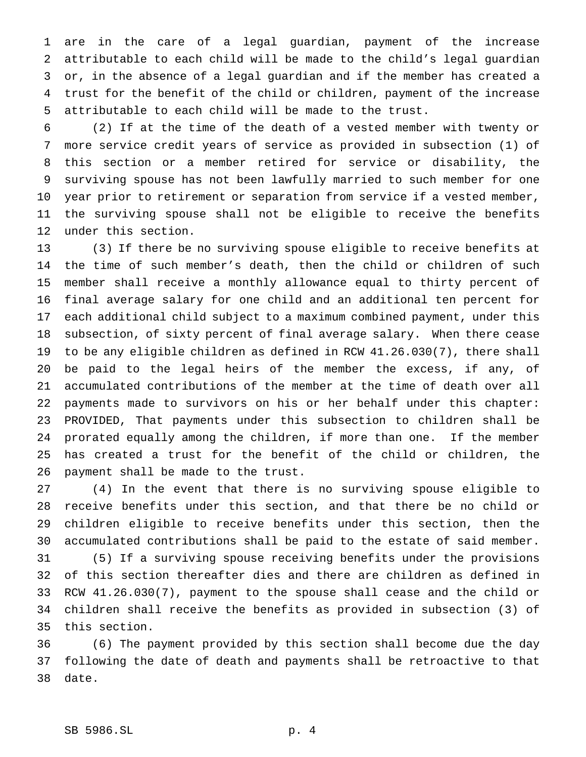are in the care of a legal guardian, payment of the increase attributable to each child will be made to the child's legal guardian or, in the absence of a legal guardian and if the member has created a trust for the benefit of the child or children, payment of the increase attributable to each child will be made to the trust.

 (2) If at the time of the death of a vested member with twenty or more service credit years of service as provided in subsection (1) of this section or a member retired for service or disability, the surviving spouse has not been lawfully married to such member for one year prior to retirement or separation from service if a vested member, the surviving spouse shall not be eligible to receive the benefits under this section.

 (3) If there be no surviving spouse eligible to receive benefits at the time of such member's death, then the child or children of such member shall receive a monthly allowance equal to thirty percent of final average salary for one child and an additional ten percent for each additional child subject to a maximum combined payment, under this subsection, of sixty percent of final average salary. When there cease to be any eligible children as defined in RCW 41.26.030(7), there shall be paid to the legal heirs of the member the excess, if any, of accumulated contributions of the member at the time of death over all payments made to survivors on his or her behalf under this chapter: PROVIDED, That payments under this subsection to children shall be prorated equally among the children, if more than one. If the member has created a trust for the benefit of the child or children, the payment shall be made to the trust.

 (4) In the event that there is no surviving spouse eligible to receive benefits under this section, and that there be no child or children eligible to receive benefits under this section, then the accumulated contributions shall be paid to the estate of said member. (5) If a surviving spouse receiving benefits under the provisions of this section thereafter dies and there are children as defined in RCW 41.26.030(7), payment to the spouse shall cease and the child or children shall receive the benefits as provided in subsection (3) of

this section.

 (6) The payment provided by this section shall become due the day following the date of death and payments shall be retroactive to that date.